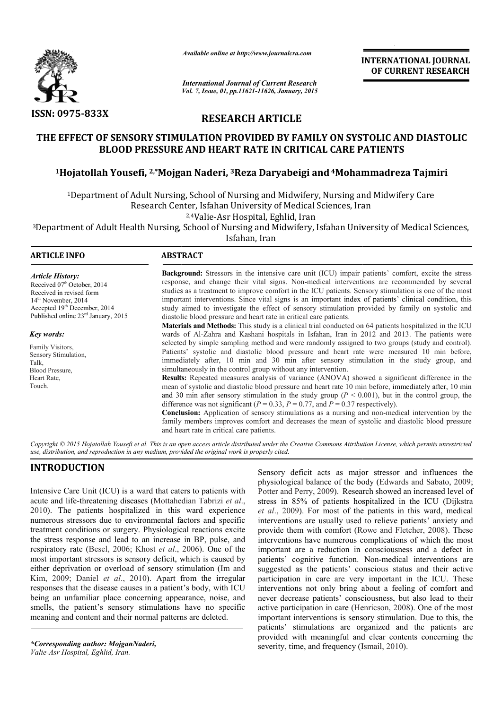

*Available online at http://www.journalcra.com*

*International Journal of Current Research Vol. 7, Issue, 01, pp.11621-11626, January, 2015* **INTERNATIONAL INTERNATIONAL JOURNAL OF CURRENT RESEARCH** 

## **RESEARCH ARTICLE**

# **THE EFFECT OF SENSORY STIMULATION PROVIDED BY FAMILY ON SYSTOLIC AND DIASTOLIC BLOOD PRESSURE AND HEART RATE IN CRITICAL CARE PATIENTS** EFFECT OF SENSORY STIMULATION PROVIDED BY FAMILY ON SYSTOLIC AND DIASTOLIC BLOOD PRESSURE AND HEART RATE IN CRITICAL CARE PATIENTS<br><sup>1</sup>Hojatollah Yousefi, <sup>2,\*</sup>Mojgan Naderi, <sup>3</sup>Reza Daryabeigi and <sup>4</sup>Mohammadreza Tajmiri

<sup>1</sup>Department of Adult Nursing, School of Nursing and Midwifery, Nursing and Midwifery Care Research Center, Isfahan University of Medical Sciences, Iran

2,4Valie-Asr Hospital, Eghlid, Iran

<sup>3</sup>Department of Adult Health Nursing, School of Nursing and Midwifery, Isfahan University of Medical Sciences,<br>Isfahan, Iran Midwifery, Isfahan University of Medical Sciences,

| <b>ARTICLE INFO</b>                                                                                                                                                                                        | <b>ABSTRACT</b>                                                                                                                                                                                                                                                                                                                                                                                                                                                                                                                                                                                                                                                                                                                                                                                                                                                                                                                                                                                                                                                                                                                                                                                                                                                |  |  |  |  |
|------------------------------------------------------------------------------------------------------------------------------------------------------------------------------------------------------------|----------------------------------------------------------------------------------------------------------------------------------------------------------------------------------------------------------------------------------------------------------------------------------------------------------------------------------------------------------------------------------------------------------------------------------------------------------------------------------------------------------------------------------------------------------------------------------------------------------------------------------------------------------------------------------------------------------------------------------------------------------------------------------------------------------------------------------------------------------------------------------------------------------------------------------------------------------------------------------------------------------------------------------------------------------------------------------------------------------------------------------------------------------------------------------------------------------------------------------------------------------------|--|--|--|--|
| <b>Article History:</b><br>Received 07 <sup>th</sup> October, 2014<br>Received in revised form<br>$14th$ November, 2014<br>Accepted 19th December, 2014<br>Published online 23 <sup>rd</sup> January, 2015 | <b>Background:</b> Stressors in the intensive care unit (ICU) impair patients' comfort, excite the stress<br>response, and change their vital signs. Non-medical interventions are recommended by several<br>studies as a treatment to improve comfort in the ICU patients. Sensory stimulation is one of the most<br>important interventions. Since vital signs is an important index of patients' clinical condition, this<br>study aimed to investigate the effect of sensory stimulation provided by family on systolic and<br>diastolic blood pressure and heart rate in critical care patients.                                                                                                                                                                                                                                                                                                                                                                                                                                                                                                                                                                                                                                                          |  |  |  |  |
| <b>Key words:</b><br>Family Visitors,<br>Sensory Stimulation,<br>Talk,<br>Blood Pressure.<br>Heart Rate,<br>Touch.                                                                                         | <b>Materials and Methods:</b> This study is a clinical trial conducted on 64 patients hospitalized in the ICU<br>wards of Al-Zahra and Kashani hospitals in Isfahan, Iran in 2012 and 2013. The patients were<br>selected by simple sampling method and were randomly assigned to two groups (study and control).<br>Patients' systolic and diastolic blood pressure and heart rate were measured 10 min before,<br>immediately after, 10 min and 30 min after sensory stimulation in the study group, and<br>simultaneously in the control group without any intervention.<br><b>Results:</b> Repeated measures analysis of variance (ANOVA) showed a significant difference in the<br>mean of systolic and diastolic blood pressure and heart rate 10 min before, immediately after, 10 min<br>and 30 min after sensory stimulation in the study group ( $P < 0.001$ ), but in the control group, the<br>difference was not significant ( $P = 0.33$ , $P = 0.77$ , and $P = 0.37$ respectively).<br><b>Conclusion:</b> Application of sensory stimulations as a nursing and non-medical intervention by the<br>family members improves comfort and decreases the mean of systolic and diastolic blood pressure<br>and heart rate in critical care patients. |  |  |  |  |

Copyright © 2015 Hojatollah Yousefi et al. This is an open access article distributed under the Creative Commons Attribution License, which permits unrestrictea *use, distribution, and reproduction in any medium, provided the original work is properly cited.*

#### **INTRODUCTION**

Intensive Care Unit (ICU) is a ward that caters to patients with acute and life-threatening diseases (Mottahedian Tabrizi et al., 2010). The patients hospitalized in this ward experience numerous stressors due to environmental factors and specific treatment conditions or surgery. Physiological reactions excite the stress response and lead to an increase in BP, pulse, and respiratory rate (Besel, 2006; Khost *et al*., 2006). One of the most important stressors is sensory deficit, which is caused by either deprivation or overload of sensory stimulation (Im and Kim, 2009; Daniel *et al*., 2010). Apart from the irregular responses that the disease causes in a patient's body, with ICU being an unfamiliar place concerning appearance, noise, and smells, the patient's sensory stimulations have no specific meaning and content and their normal patterns are deleted.

*\*Corresponding author: MojganNaderi, Valie-Asr Hospital, Eghlid, Iran.*

Sensory deficit acts as major stressor and influences the Sensory deficit acts as major stressor and influences the physiological balance of the body (Edwards and Sabato, 2009; Potter and Perry, 2009). Research showed an increased level of stress in 85% of patients hospitalized in the ICU (Dijkstra *et al*., 2009). For most of the patients in this ward, medical interventions are usually used to relieve patients' anxiety and provide them with comfort (Rowe and Fletcher, 2008). These interventions have numerous complications of which the most important are a reduction in consciousness and a defect in patients' cognitive function. Non-medical interventions are suggested as the patients' conscious status and their active participation in care are very important in the ICU. These interventions not only bring about a feeling of comfort and never decrease patients' consciousness, but also lead to their participation in care are very important in the ICU. These interventions not only bring about a feeling of comfort and never decrease patients' consciousness, but also lead to their active participation in care (Henricson, important interventions is sensory stimulation. Due to this, the patients' stimulations are organized and the patients are provided with meaningful and clear contents concerning the severity, time, and frequency (Ismail, 2010). he patients in this ward, medical<br>d to relieve patients' anxiety and<br>Rowe and Fletcher, 2008). These umerous complications of which the most<br>uction in consciousness and a defect in<br>function. Non-medical interventions are interventions is sensory stimulation. Due to this, the stimulations are organized and the patients are with meaningful and clear contents concerning the ime, and frequency (Ismail, 2010).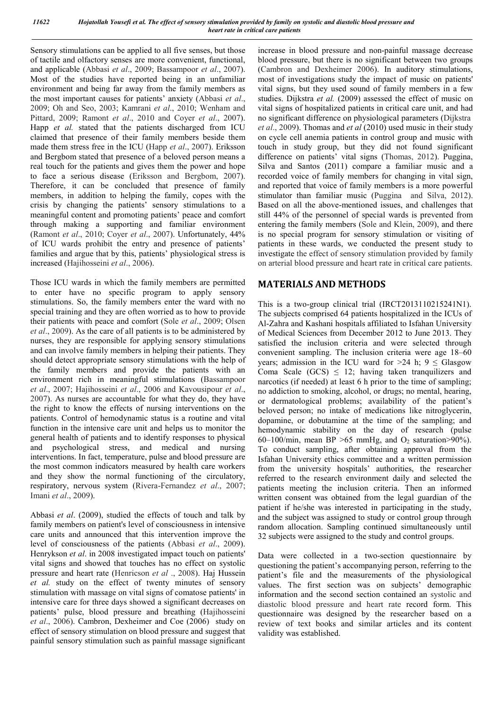Sensory stimulations can be applied to all five senses, but those of tactile and olfactory senses are more convenient, functional, and applicable (Abbasi *et al*., 2009; Bassampoor *et al*., 2007). Most of the studies have reported being in an unfamiliar environment and being far away from the family members as the most important causes for patients' anxiety (Abbasi *et al*., 2009; Oh and Seo, 2003; Kamrani *et al*., 2010; Wenham and Pittard, 2009; Ramont *et al*., 2010 and Coyer *et al*., 2007). Happ *et al.* stated that the patients discharged from ICU claimed that presence of their family members beside them made them stress free in the ICU (Happ *et al*., 2007). Eriksson and Bergbom stated that presence of a beloved person means a real touch for the patients and gives them the power and hope to face a serious disease (Eriksson and Bergbom, 2007). Therefore, it can be concluded that presence of family members, in addition to helping the family, copes with the crisis by changing the patients' sensory stimulations to a meaningful content and promoting patients' peace and comfort through making a supporting and familiar environment (Ramont *et al*., 2010; Coyer *et al*., 2007). Unfortunately, 44% of ICU wards prohibit the entry and presence of patients' families and argue that by this, patients' physiological stress is increased (Hajihosseini *et al*., 2006).

Those ICU wards in which the family members are permitted to enter have no specific program to apply sensory stimulations. So, the family members enter the ward with no special training and they are often worried as to how to provide their patients with peace and comfort (Sole *et al*., 2009; Olsen *et al*., 2009). As the care of all patients is to be administered by nurses, they are responsible for applying sensory stimulations and can involve family members in helping their patients. They should detect appropriate sensory stimulations with the help of the family members and provide the patients with an environment rich in meaningful stimulations (Bassampoor *et al*., 2007; Hajihosseini *et al*., 2006 and Kavousipour *et al*., 2007). As nurses are accountable for what they do, they have the right to know the effects of nursing interventions on the patients. Control of hemodynamic status is a routine and vital function in the intensive care unit and helps us to monitor the general health of patients and to identify responses to physical and psychological stress, and medical and nursing interventions. In fact, temperature, pulse and blood pressure are the most common indicators measured by health care workers and they show the normal functioning of the circulatory, respiratory, nervous system (Rivera-Fernandez *et al*., 2007; Imani *et al*., 2009).

Abbasi *et al*. (2009), studied the effects of touch and talk by family members on patient's level of consciousness in intensive care units and announced that this intervention improve the level of consciousness of the patients (Abbasi *et al*., 2009). Henrykson *et al*. in 2008 investigated impact touch on patients' vital signs and showed that touches has no effect on systolic pressure and heart rate (Henricson *et al* ., 2008). Haj Hussein *et al.* study on the effect of twenty minutes of sensory stimulation with massage on vital signs of comatose patients' in intensive care for three days showed a significant decreases on patients' pulse, blood pressure and breathing (Hajihosseini *et al*., 2006). Cambron, Dexheimer and Coe (2006) study on effect of sensory stimulation on blood pressure and suggest that painful sensory stimulation such as painful massage significant increase in blood pressure and non-painful massage decrease blood pressure, but there is no significant between two groups (Cambron and Dexheimer 2006). In auditory stimulations, most of investigations study the impact of music on patients' vital signs, but they used sound of family members in a few studies. Dijkstra *et al.* (2009) assessed the effect of music on vital signs of hospitalized patients in critical care unit, and had no significant difference on physiological parameters (Dijkstra *et al*., 2009). Thomas and *et al* (2010) used music in their study on cycle cell anemia patients in control group and music with touch in study group, but they did not found significant difference on patients' vital signs (Thomas, 2012). Puggina, Silva and Santos (2011) compare a familiar music and a recorded voice of family members for changing in vital sign, and reported that voice of family members is a more powerful stimulator than familiar music (Puggina and Silva, 2012). Based on all the above-mentioned issues, and challenges that still 44% of the personnel of special wards is prevented from entering the family members (Sole and Klein, 2009), and there is no special program for sensory stimulation or visiting of patients in these wards, we conducted the present study to investigate the effect of sensory stimulation provided by family on arterial blood pressure and heart rate in critical care patients.

#### **MATERIALS AND METHODS**

This is a two-group clinical trial (IRCT2013110215241N1). The subjects comprised 64 patients hospitalized in the ICUs of Al-Zahra and Kashani hospitals affiliated to Isfahan University of Medical Sciences from December 2012 to June 2013. They satisfied the inclusion criteria and were selected through convenient sampling. The inclusion criteria were age 18–60 years; admission in the ICU ward for  $>24$  h;  $9 \leq$  Glasgow Coma Scale  $(GCS) \leq 12$ ; having taken tranquilizers and narcotics (if needed) at least 6 h prior to the time of sampling; no addiction to smoking, alcohol, or drugs; no mental, hearing, or dermatological problems; availability of the patient's beloved person; no intake of medications like nitroglycerin, dopamine, or dobutamine at the time of the sampling; and hemodynamic stability on the day of research (pulse 60–100/min, mean BP >65 mmHg, and  $O_2$  saturation>90%). To conduct sampling, after obtaining approval from the Isfahan University ethics committee and a written permission from the university hospitals' authorities, the researcher referred to the research environment daily and selected the patients meeting the inclusion criteria. Then an informed written consent was obtained from the legal guardian of the patient if he/she was interested in participating in the study, and the subject was assigned to study or control group through random allocation. Sampling continued simultaneously until 32 subjects were assigned to the study and control groups.

Data were collected in a two-section questionnaire by questioning the patient's accompanying person, referring to the patient's file and the measurements of the physiological values. The first section was on subjects' demographic information and the second section contained an systolic and diastolic blood pressure and heart rate record form. This questionnaire was designed by the researcher based on a review of text books and similar articles and its content validity was established.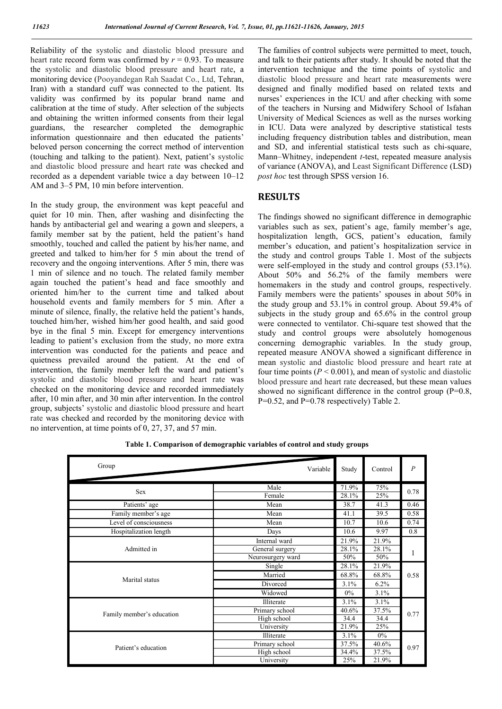Reliability of the systolic and diastolic blood pressure and heart rate record form was confirmed by  $r = 0.93$ . To measure the systolic and diastolic blood pressure and heart rate, a monitoring device (Pooyandegan Rah Saadat Co., Ltd, Tehran, Iran) with a standard cuff was connected to the patient. Its validity was confirmed by its popular brand name and calibration at the time of study. After selection of the subjects and obtaining the written informed consents from their legal guardians, the researcher completed the demographic information questionnaire and then educated the patients' beloved person concerning the correct method of intervention (touching and talking to the patient). Next, patient's systolic and diastolic blood pressure and heart rate was checked and recorded as a dependent variable twice a day between 10–12 AM and 3–5 PM, 10 min before intervention.

In the study group, the environment was kept peaceful and quiet for 10 min. Then, after washing and disinfecting the hands by antibacterial gel and wearing a gown and sleepers, a family member sat by the patient, held the patient's hand smoothly, touched and called the patient by his/her name, and greeted and talked to him/her for 5 min about the trend of recovery and the ongoing interventions. After 5 min, there was 1 min of silence and no touch. The related family member again touched the patient's head and face smoothly and oriented him/her to the current time and talked about household events and family members for 5 min. After a minute of silence, finally, the relative held the patient's hands, touched him/her, wished him/her good health, and said good bye in the final 5 min. Except for emergency interventions leading to patient's exclusion from the study, no more extra intervention was conducted for the patients and peace and quietness prevailed around the patient. At the end of intervention, the family member left the ward and patient's systolic and diastolic blood pressure and heart rate was checked on the monitoring device and recorded immediately after, 10 min after, and 30 min after intervention. In the control group, subjects' systolic and diastolic blood pressure and heart rate was checked and recorded by the monitoring device with no intervention, at time points of 0, 27, 37, and 57 min.

The families of control subjects were permitted to meet, touch, and talk to their patients after study. It should be noted that the intervention technique and the time points of systolic and diastolic blood pressure and heart rate measurements were designed and finally modified based on related texts and nurses' experiences in the ICU and after checking with some of the teachers in Nursing and Midwifery School of Isfahan University of Medical Sciences as well as the nurses working in ICU. Data were analyzed by descriptive statistical tests including frequency distribution tables and distribution, mean and SD, and inferential statistical tests such as chi-square, Mann–Whitney, independent *t*-test, repeated measure analysis of variance (ANOVA), and Least Significant Difference (LSD) *post hoc* test through SPSS version 16.

#### **RESULTS**

The findings showed no significant difference in demographic variables such as sex, patient's age, family member's age, hospitalization length, GCS, patient's education, family member's education, and patient's hospitalization service in the study and control groups Table 1. Most of the subjects were self-employed in the study and control groups (53.1%). About 50% and 56.2% of the family members were homemakers in the study and control groups, respectively. Family members were the patients' spouses in about 50% in the study group and 53.1% in control group. About 59.4% of subjects in the study group and 65.6% in the control group were connected to ventilator. Chi-square test showed that the study and control groups were absolutely homogenous concerning demographic variables. In the study group, repeated measure ANOVA showed a significant difference in mean systolic and diastolic blood pressure and heart rate at four time points  $(P < 0.001)$ , and mean of systolic and diastolic blood pressure and heart rate decreased, but these mean values showed no significant difference in the control group (P=0.8, P=0.52, and P=0.78 respectively) Table 2.

| Group                     | Variable          | Study | Control | $\overline{P}$ |  |
|---------------------------|-------------------|-------|---------|----------------|--|
| <b>Sex</b>                | Male              | 71.9% | 75%     | 0.78           |  |
|                           | Female            | 28.1% | 25%     |                |  |
| Patients' age             | Mean              | 38.7  | 41.3    | 0.46           |  |
| Family member's age       | Mean              | 41.1  | 39.5    | 0.58           |  |
| Level of consciousness    | Mean              | 10.7  | 10.6    | 0.74           |  |
| Hospitalization length    | Days              | 10.6  | 9.97    | 0.8            |  |
|                           | Internal ward     | 21.9% | 21.9%   |                |  |
| Admitted in               | General surgery   | 28.1% | 28.1%   |                |  |
|                           | Neurosurgery ward | 50%   | 50%     |                |  |
|                           | Single            | 28.1% | 21.9%   |                |  |
|                           | Married           | 68.8% | 68.8%   | 0.58           |  |
| Marital status            | Divorced          | 3.1%  | 6.2%    |                |  |
|                           | Widowed           | $0\%$ | 3.1%    |                |  |
|                           | Illiterate        | 3.1%  | 3.1%    |                |  |
|                           | Primary school    | 40.6% | 37.5%   | 0.77           |  |
| Family member's education | High school       | 34.4  | 34.4    |                |  |
|                           | University        | 21.9% | 25%     |                |  |
|                           | Illiterate        | 3.1%  | $0\%$   |                |  |
| Patient's education       | Primary school    | 37.5% | 40.6%   | 0.97           |  |
|                           | High school       | 34.4% | 37.5%   |                |  |
|                           | University        | 25%   | 21.9%   |                |  |

**Table 1. Comparison of demographic variables of control and study groups**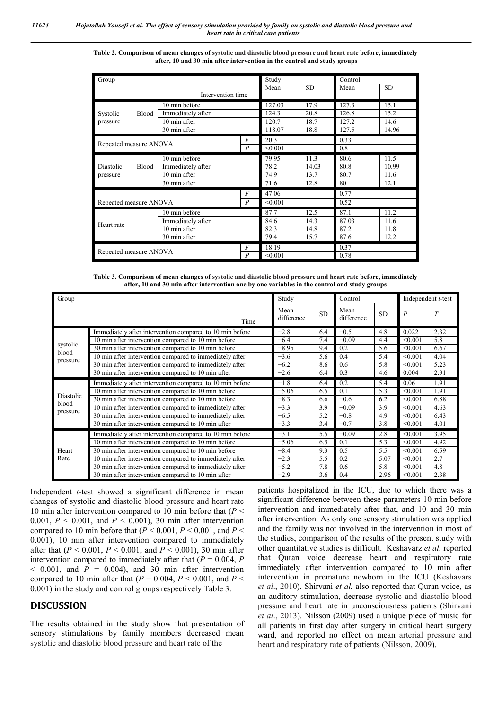| Table 2. Comparison of mean changes of systolic and diastolic blood pressure and heart rate before, immediately |
|-----------------------------------------------------------------------------------------------------------------|
| after, 10 and 30 min after intervention in the control and study groups                                         |

| Group                                                      |                   |                  | Study     |       | Control   |       |  |
|------------------------------------------------------------|-------------------|------------------|-----------|-------|-----------|-------|--|
|                                                            |                   | Mean             | <b>SD</b> | Mean  | <b>SD</b> |       |  |
| Intervention time                                          |                   |                  |           |       |           |       |  |
| <b>Blood</b><br>Systolic                                   | 10 min before     |                  | 127.03    | 17.9  | 127.3     | 15.1  |  |
|                                                            | Immediately after |                  | 124.3     | 20.8  | 126.8     | 15.2  |  |
| pressure                                                   | 10 min after      |                  | 120.7     | 18.7  | 127.2     | 14.6  |  |
|                                                            | 30 min after      |                  | 118.07    | 18.8  | 127.5     | 14.96 |  |
| $\overline{F}$<br>Repeated measure ANOVA<br>$\overline{P}$ |                   |                  | 20.3      |       | 0.33      |       |  |
|                                                            |                   |                  | < 0.001   |       | 0.8       |       |  |
|                                                            | 10 min before     |                  | 79.95     | 11.3  | 80.6      | 11.5  |  |
| Diastolic<br><b>Blood</b>                                  | Immediately after |                  | 78.2      | 14.03 | 80.8      | 10.99 |  |
| pressure                                                   | 10 min after      |                  | 74.9      | 13.7  | 80.7      | 11.6  |  |
|                                                            | 30 min after      |                  | 71.6      | 12.8  | 80        | 12.1  |  |
| $\overline{F}$                                             |                   |                  | 47.06     |       | 0.77      |       |  |
| $\overline{P}$<br>Repeated measure ANOVA                   |                   |                  | < 0.001   |       | 0.52      |       |  |
| Heart rate                                                 | 10 min before     |                  | 87.7      | 12.5  | 87.1      | 11.2  |  |
|                                                            | Immediately after |                  | 84.6      | 14.3  | 87.03     | 11.6  |  |
|                                                            | 10 min after      |                  | 82.3      | 14.8  | 87.2      | 11.8  |  |
|                                                            | 30 min after      |                  | 79.4      | 15.7  | 87.6      | 12.2  |  |
| Repeated measure ANOVA                                     |                   | $\overline{F}$   | 18.19     |       | 0.37      |       |  |
|                                                            |                   | $\boldsymbol{P}$ | < 0.001   |       | 0.78      |       |  |

| Table 3. Comparison of mean changes of systolic and diastolic blood pressure and heart rate before, immediately |
|-----------------------------------------------------------------------------------------------------------------|
| after, 10 and 30 min after intervention one by one variables in the control and study groups                    |

| Group                          |                                                          | Study              |           | Control            |           | Independent t-test |      |
|--------------------------------|----------------------------------------------------------|--------------------|-----------|--------------------|-----------|--------------------|------|
|                                | Time                                                     | Mean<br>difference | <b>SD</b> | Mean<br>difference | <b>SD</b> | $\boldsymbol{P}$   |      |
| systolic<br>blood<br>pressure  | Immediately after intervention compared to 10 min before | $-2.8$             | 6.4       | $-0.5$             | 4.8       | 0.022              | 2.32 |
|                                | 10 min after intervention compared to 10 min before      | $-6.4$             | 7.4       | $-0.09$            | 4.4       | < 0.001            | 5.8  |
|                                | 30 min after intervention compared to 10 min before      | $-8.95$            | 9.4       | 0.2                | 5.6       | < 0.001            | 6.67 |
|                                | 10 min after intervention compared to immediately after  | $-3.6$             | 5.6       | 0.4                | 5.4       | < 0.001            | 4.04 |
|                                | 30 min after intervention compared to immediately after  | $-6.2$             | 8.6       | 0.6                | 5.8       | < 0.001            | 5.23 |
|                                | 30 min after intervention compared to 10 min after       | $-2.6$             | 6.4       | 0.3                | 4.6       | 0.004              | 2.91 |
| Diastolic<br>blood<br>pressure | Immediately after intervention compared to 10 min before | $-1.8$             | 6.4       | 0.2                | 5.4       | 0.06               | 1.91 |
|                                | 10 min after intervention compared to 10 min before      | $-5.06$            | 6.5       | 0.1                | 5.3       | < 0.001            | 1.91 |
|                                | 30 min after intervention compared to 10 min before      | $-8.3$             | 6.6       | $-0.6$             | 6.2       | < 0.001            | 6.88 |
|                                | 10 min after intervention compared to immediately after  | $-3.3$             | 3.9       | $-0.09$            | 3.9       | < 0.001            | 4.63 |
|                                | 30 min after intervention compared to immediately after  | $-6.5$             | 5.2       | $-0.8$             | 4.9       | < 0.001            | 6.43 |
|                                | 30 min after intervention compared to 10 min after       | $-3.3$             | 3.4       | $-0.7$             | 3.8       | < 0.001            | 4.01 |
| Heart<br>Rate                  | Immediately after intervention compared to 10 min before | $-3.1$             | 5.5       | $-0.09$            | 2.8       | < 0.001            | 3.95 |
|                                | 10 min after intervention compared to 10 min before      | $-5.06$            | 6.5       | 0.1                | 5.3       | < 0.001            | 4.92 |
|                                | 30 min after intervention compared to 10 min before      | $-8.4$             | 9.3       | 0.5                | 5.5       | < 0.001            | 6.59 |
|                                | 10 min after intervention compared to immediately after  | $-2.3$             | 5.5       | 0.2                | 5.07      | < 0.001            | 2.7  |
|                                | 30 min after intervention compared to immediately after  | $-5.2$             | 7.8       | 0.6                | 5.8       | < 0.001            | 4.8  |
|                                | 30 min after intervention compared to 10 min after       | $-2.9$             | 3.6       | 0.4                | 2.96      | < 0.001            | 2.38 |

Independent *t*-test showed a significant difference in mean changes of systolic and diastolic blood pressure and heart rate 10 min after intervention compared to 10 min before that (*P* < 0.001,  $P < 0.001$ , and  $P < 0.001$ ), 30 min after intervention compared to 10 min before that  $(P < 0.001, P < 0.001,$  and  $P <$ 0.001), 10 min after intervention compared to immediately after that (*P* < 0.001, *P* < 0.001, and *P* < 0.001), 30 min after intervention compared to immediately after that  $(P = 0.004, P)$  $\leq$  0.001, and *P* = 0.004), and 30 min after intervention compared to 10 min after that  $(P = 0.004, P \le 0.001,$  and  $P \le$ 0.001) in the study and control groups respectively Table 3.

#### **DISCUSSION**

The results obtained in the study show that presentation of sensory stimulations by family members decreased mean systolic and diastolic blood pressure and heart rate of the

patients hospitalized in the ICU, due to which there was a significant difference between these parameters 10 min before intervention and immediately after that, and 10 and 30 min after intervention. As only one sensory stimulation was applied and the family was not involved in the intervention in most of the studies, comparison of the results of the present study with other quantitative studies is difficult. Keshavarz *et al.* reported that Quran voice decrease heart and respiratory rate immediately after intervention compared to 10 min after intervention in premature newborn in the ICU (Keshavars *et al*., 2010). Shirvani *et al.* also reported that Quran voice, as an auditory stimulation, decrease systolic and diastolic blood pressure and heart rate in unconsciousness patients (Shirvani *et al*., 2013). Nilsson (2009) used a unique piece of music for all patients in first day after surgery in critical heart surgery ward, and reported no effect on mean arterial pressure and heart and respiratory rate of patients (Nilsson, 2009).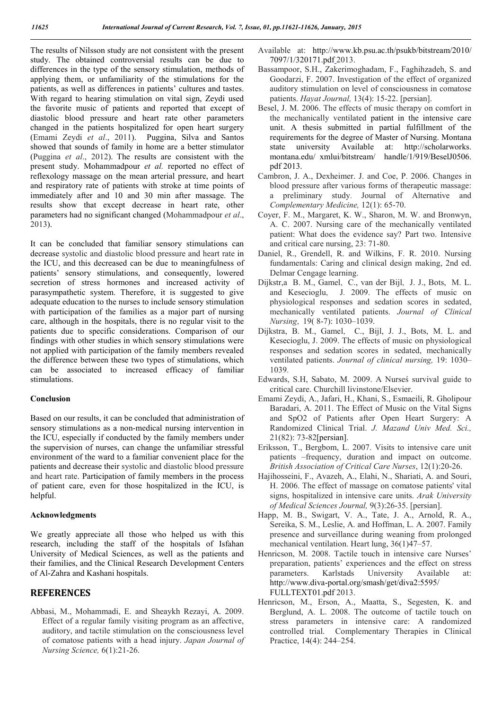The results of Nilsson study are not consistent with the present study. The obtained controversial results can be due to differences in the type of the sensory stimulation, methods of applying them, or unfamiliarity of the stimulations for the patients, as well as differences in patients' cultures and tastes. With regard to hearing stimulation on vital sign, Zeydi used the favorite music of patients and reported that except of diastolic blood pressure and heart rate other parameters changed in the patients hospitalized for open heart surgery (Emami Zeydi *et al*., 2011). Puggina, Silva and Santos showed that sounds of family in home are a better stimulator (Puggina *et al*., 2012). The results are consistent with the present study. Mohammadpour *et al.* reported no effect of reflexology massage on the mean arterial pressure, and heart and respiratory rate of patients with stroke at time points of immediately after and 10 and 30 min after massage. The results show that except decrease in heart rate, other parameters had no significant changed (Mohammadpour *et al*., 2013).

It can be concluded that familiar sensory stimulations can decrease systolic and diastolic blood pressure and heart rate in the ICU, and this decreased can be due to meaningfulness of patients' sensory stimulations, and consequently, lowered secretion of stress hormones and increased activity of parasympathetic system. Therefore, it is suggested to give adequate education to the nurses to include sensory stimulation with participation of the families as a major part of nursing care, although in the hospitals, there is no regular visit to the patients due to specific considerations. Comparison of our findings with other studies in which sensory stimulations were not applied with participation of the family members revealed the difference between these two types of stimulations, which can be associated to increased efficacy of familiar stimulations.

#### **Conclusion**

Based on our results, it can be concluded that administration of sensory stimulations as a non-medical nursing intervention in the ICU, especially if conducted by the family members under the supervision of nurses, can change the unfamiliar stressful environment of the ward to a familiar convenient place for the patients and decrease their systolic and diastolic blood pressure and heart rate. Participation of family members in the process of patient care, even for those hospitalized in the ICU, is helpful.

#### **Acknowledgments**

We greatly appreciate all those who helped us with this research, including the staff of the hospitals of Isfahan University of Medical Sciences, as well as the patients and their families, and the Clinical Research Development Centers of Al-Zahra and Kashani hospitals.

### **REFERENCES**

Abbasi, M., Mohammadi, E. and Sheaykh Rezayi, A. 2009. Effect of a regular family visiting program as an affective, auditory, and tactile stimulation on the consciousness level of comatose patients with a head injury. *Japan Journal of Nursing Science,* 6(1):21-26.

- Available at: http://www.kb.psu.ac.th/psukb/bitstream/2010/ 7097/1/320171.pdf 2013.
- Bassampoor, S.H., Zakerimoghadam, F., Faghihzadeh, S. and Goodarzi, F. 2007. Investigation of the effect of organized auditory stimulation on level of consciousness in comatose patients. *Hayat Journal,* 13(4): 15-22. [persian].
- Besel, J. M. 2006. The effects of music therapy on comfort in the mechanically ventilated patient in the intensive care unit. A thesis submitted in partial fulfillment of the requirements for the degree of Master of Nursing. Montana state university Available at: http://scholarworks. montana.edu/ xmlui/bitstream/ handle/1/919/BeselJ0506. pdf 2013.
- Cambron, J. A., Dexheimer. J. and Coe, P. 2006. Changes in blood pressure after various forms of therapeutic massage: a preliminary study. Journal of Alternative and *Complementary Medicine,* 12(1): 65-70.
- Coyer, F. M., Margaret, K. W., Sharon, M. W. and Bronwyn, A. C. 2007. Nursing care of the mechanically ventilated patient: What does the evidence say? Part two. Intensive and critical care nursing, 23: 71-80.
- Daniel, R., Grendell, R. and Wilkins, F. R. 2010. Nursing fundamentals: Caring and clinical design making, 2nd ed. Delmar Cengage learning.
- Dijkstr,a B. M., Gamel, C., van der Bijl, J. J., Bots, M. L. and Kesecioglu, J. 2009. The effects of music on physiological responses and sedation scores in sedated, mechanically ventilated patients. *Journal of Clinical Nursing*, 19( 8-7): 1030–1039.
- Dijkstra, B. M., Gamel, C., Bijl, J. J., Bots, M. L. and Kesecioglu, J. 2009. The effects of music on physiological responses and sedation scores in sedated, mechanically ventilated patients. *Journal of clinical nursing,* 19: 1030– 1039.
- Edwards, S.H, Sabato, M. 2009. A Nurseś survival guide to critical care. Churchill livinstone/Elsevier.
- Emami Zeydi, A., Jafari, H., Khani, S., Esmaeili, R. Gholipour Baradari, A. 2011. The Effect of Music on the Vital Signs and SpO2 of Patients after Open Heart Surgery: A Randomized Clinical Trial. *J. Mazand Univ Med. Sci.,* 21(82): 73-82[persian].
- Eriksson, T., Bergbom, L. 2007. Visits to intensive care unit patients –frequency, duration and impact on outcome. *British Association of Critical Care Nurses*, 12(1):20-26.
- Hajihosseini, F., Avazeh, A., Elahi, N., Shariati, A. and Souri, H. 2006. The effect of massage on comatose patients' vital signs, hospitalized in intensive care units. *Arak University of Medical Sciences Journal,* 9(3):26-35. [persian].
- Happ, M. B., Swigart, V. A., Tate, J. A., Arnold, R. A., Sereika, S. M., Leslie, A. and Hoffman, L. A. 2007. Family presence and surveillance during weaning from prolonged mechanical ventilation. Heart lung, 36(1)47–57.
- Henricson, M. 2008. Tactile touch in intensive care Nurses' preparation, patients' experiences and the effect on stress parameters. Karlstads University Available at: http://www.diva-portal.org/smash/get/diva2:5595/ FULLTEXT01.pdf 2013.
- Henricson, M., Erson, A., Maatta, S., Segesten, K. and Berglund, A. L. 2008. The outcome of tactile touch on stress parameters in intensive care: A randomized controlled trial. Complementary Therapies in Clinical Practice, 14(4): 244–254.